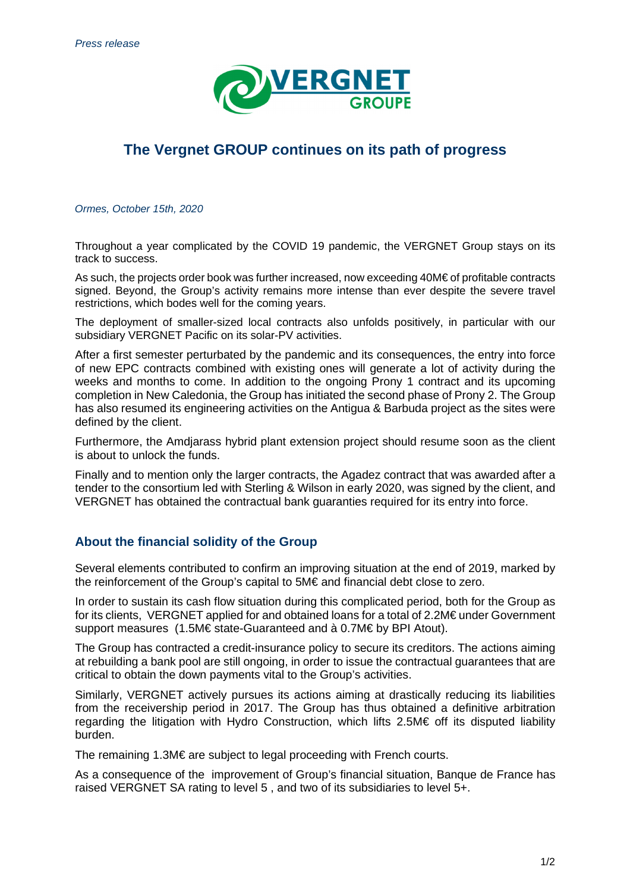

## **The Vergnet GROUP continues on its path of progress**

Ormes, October 15th, 2020

Throughout a year complicated by the COVID 19 pandemic, the VERGNET Group stays on its track to success.

As such, the projects order book was further increased, now exceeding 40M€ of profitable contracts signed. Beyond, the Group's activity remains more intense than ever despite the severe travel restrictions, which bodes well for the coming years.

The deployment of smaller-sized local contracts also unfolds positively, in particular with our subsidiary VERGNET Pacific on its solar-PV activities.

After a first semester perturbated by the pandemic and its consequences, the entry into force of new EPC contracts combined with existing ones will generate a lot of activity during the weeks and months to come. In addition to the ongoing Prony 1 contract and its upcoming completion in New Caledonia, the Group has initiated the second phase of Prony 2. The Group has also resumed its engineering activities on the Antigua & Barbuda project as the sites were defined by the client.

Furthermore, the Amdjarass hybrid plant extension project should resume soon as the client is about to unlock the funds.

Finally and to mention only the larger contracts, the Agadez contract that was awarded after a tender to the consortium led with Sterling & Wilson in early 2020, was signed by the client, and VERGNET has obtained the contractual bank guaranties required for its entry into force.

## **About the financial solidity of the Group**

Several elements contributed to confirm an improving situation at the end of 2019, marked by the reinforcement of the Group's capital to 5M€ and financial debt close to zero.

In order to sustain its cash flow situation during this complicated period, both for the Group as for its clients, VERGNET applied for and obtained loans for a total of 2.2M€ under Government support measures (1.5M€ state-Guaranteed and à 0.7M€ by BPI Atout).

The Group has contracted a credit-insurance policy to secure its creditors. The actions aiming at rebuilding a bank pool are still ongoing, in order to issue the contractual guarantees that are critical to obtain the down payments vital to the Group's activities.

Similarly, VERGNET actively pursues its actions aiming at drastically reducing its liabilities from the receivership period in 2017. The Group has thus obtained a definitive arbitration regarding the litigation with Hydro Construction, which lifts 2.5M€ off its disputed liability burden.

The remaining 1.3M€ are subject to legal proceeding with French courts.

As a consequence of the improvement of Group's financial situation, Banque de France has raised VERGNET SA rating to level 5 , and two of its subsidiaries to level 5+.